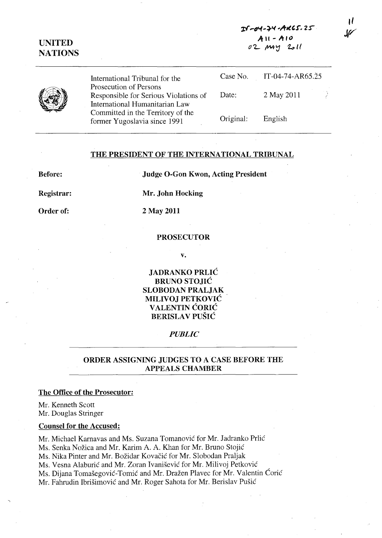# $Tf - \rho 4 - \rho 4 - A4C5.25$ All - Alo 0044 2.11

I1

*Jf/* 



UNITED **NATIONS** 

> International Tribunal for the Prosecution of Persons Case No. **IT-04-74-AR65.25** Responsible for Serious Violations of International Humanitarian Law Committed in the Territory of the former Yugoslavia since 1991 Date: Original: 2 May 2011 English

### THE PRESIDENT OF THE INTERNATIONAL TRIBUNAL

Before:

Judge O-Gon Kwon, Acting President

Registrar:

2 May 2011

Mr. John Hocking

Order of:

### PROSECUTOR

v.

JADRANKO PRLIC BRUNO STOJIC SLOBODAN PRALJAK MILIVOJ PETKOVIC **VALENTIN CORIC** BERISLAV PUŠIĆ

# *PUBLIC*

# ORDER ASSIGNING JUDGES TO A CASE BEFORE THE APPEALS CHAMBER

## The Office of the Prosecutor:

Mr. Kenneth Scott Mr. Douglas Stringer

# Counsel for the Accused:

Mr. Michael Karnavas and Ms. Suzana Tomanović for Mr. Jadranko Prlić Ms. Senka Nožica and Mr. Karim A. A. Khan for Mr. Bruno Stojić Ms. Nika Pinter and Mr. Bozidar Kovacie for Mr. Slobodan Praljak Ms. Vesna Alaburić and Mr. Zoran Ivanišević for Mr. Milivoj Petković Ms. Dijana Tomašegović-Tomić and Mr. Dražen Plavec for Mr. Valentin Ćorić Mr. Fahrudin Ibrišimović and Mr. Roger Sahota for Mr. Berislav Pušić